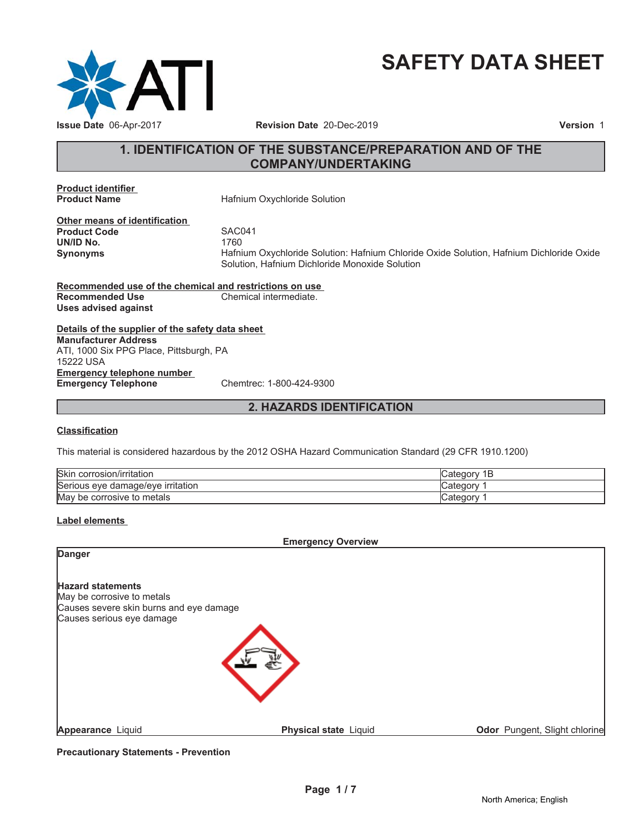

# **SAFETY DATA SHEET**

# **1. IDENTIFICATION OF THE SUBSTANCE/PREPARATION AND OF THE COMPANY/UNDERTAKING**

**Product identifier**

**Hafnium Oxychloride Solution** 

**Other means of identification Product Code 5AC041**<br> **UN/ID No.** 1760 **UN/ID No.** 

**Synonyms** Hafnium Oxychloride Solution: Hafnium Chloride Oxide Solution, Hafnium Dichloride Oxide Solution, Hafnium Dichloride Monoxide Solution

**Recommended use of the chemical and restrictions on use Recommended Use Chemical intermediate. Uses advised against**

**Details of the supplier of the safety data sheet Emergency telephone number Emergency Telephone** Chemtrec: 1-800-424-9300 **Manufacturer Address** ATI, 1000 Six PPG Place, Pittsburgh, PA 15222 USA

# **2. HAZARDS IDENTIFICATION**

#### **Classification**

This material is considered hazardous by the 2012 OSHA Hazard Communication Standard (29 CFR 1910.1200)

| <b>Skin</b><br>. .<br>∟corrosion/irritation | Cate<br>D |
|---------------------------------------------|-----------|
| Serious eve<br>irritation<br>e damage/eve e | ategor: ت |
| May<br>metals<br>' be corrosive to          | , Categor |

# **Label elements**

**Emergency Overview**

| <b>Danger</b>                                                                                     |                       |                               |
|---------------------------------------------------------------------------------------------------|-----------------------|-------------------------------|
| <b>Hazard statements</b><br>May be corrosive to metals<br>Causes severe skin burns and eye damage |                       |                               |
| Causes serious eye damage                                                                         |                       |                               |
| <b>Appearance Liquid</b>                                                                          | Physical state Liquid | Odor Pungent, Slight chlorine |

**Precautionary Statements - Prevention**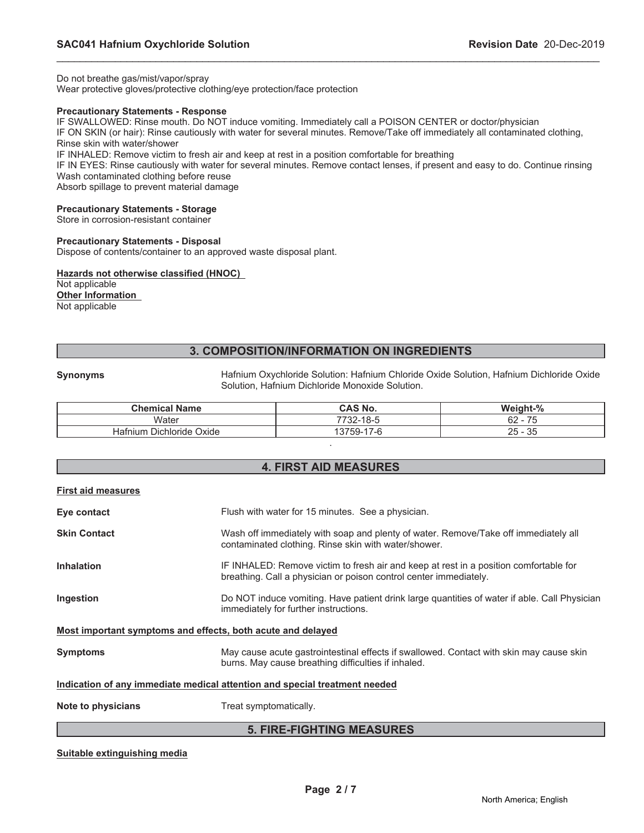Do not breathe gas/mist/vapor/spray

Wear protective gloves/protective clothing/eye protection/face protection

#### **Precautionary Statements - Response**

IF SWALLOWED: Rinse mouth. Do NOT induce vomiting. Immediately call a POISON CENTER or doctor/physician

IF ON SKIN (or hair): Rinse cautiously with water for several minutes. Remove/Take off immediately all contaminated clothing, Rinse skin with water/shower

\_\_\_\_\_\_\_\_\_\_\_\_\_\_\_\_\_\_\_\_\_\_\_\_\_\_\_\_\_\_\_\_\_\_\_\_\_\_\_\_\_\_\_\_\_\_\_\_\_\_\_\_\_\_\_\_\_\_\_\_\_\_\_\_\_\_\_\_\_\_\_\_\_\_\_\_\_\_\_\_\_\_\_\_\_\_\_\_\_\_\_\_\_

IF INHALED: Remove victim to fresh air and keep at rest in a position comfortable for breathing

IF IN EYES: Rinse cautiously with water for several minutes. Remove contact lenses, if present and easy to do. Continue rinsing Wash contaminated clothing before reuse

Absorb spillage to prevent material damage

#### **Precautionary Statements - Storage**

Store in corrosion-resistant container

#### **Precautionary Statements - Disposal**

Dispose of contents/container to an approved waste disposal plant.

#### **Hazards not otherwise classified (HNOC)**

Not applicable **Other Information** Not applicable

# **3. COMPOSITION/INFORMATION ON INGREDIENTS**

**Synonyms** Hafnium Oxychloride Solution: Hafnium Chloride Oxide Solution, Hafnium Dichloride Oxide Solution, Hafnium Dichloride Monoxide Solution.

| <b>Chemical Name</b>        | <b>CAS No.</b>         | Weight-%                                                         |
|-----------------------------|------------------------|------------------------------------------------------------------|
| Water                       | 7732-18-5              | $\overline{\phantom{a}}$<br>62<br>้ว<br>$\overline{\phantom{0}}$ |
| Dichloride Oxide<br>Hafnium | `759-.<br>-17-6<br>137 | 35<br>25<br>$\overline{\phantom{0}}$                             |
|                             |                        |                                                                  |

# **4. FIRST AID MEASURES**

| <b>5. FIRE-FIGHTING MEASURES</b> |                                                                                                                                                            |  |  |
|----------------------------------|------------------------------------------------------------------------------------------------------------------------------------------------------------|--|--|
| Note to physicians               | Treat symptomatically.                                                                                                                                     |  |  |
|                                  | Indication of any immediate medical attention and special treatment needed                                                                                 |  |  |
| <b>Symptoms</b>                  | May cause acute gastrointestinal effects if swallowed. Contact with skin may cause skin<br>burns. May cause breathing difficulties if inhaled.             |  |  |
|                                  | Most important symptoms and effects, both acute and delayed                                                                                                |  |  |
| Ingestion                        | Do NOT induce vomiting. Have patient drink large quantities of water if able. Call Physician<br>immediately for further instructions.                      |  |  |
| <b>Inhalation</b>                | IF INHALED: Remove victim to fresh air and keep at rest in a position comfortable for<br>breathing. Call a physician or poison control center immediately. |  |  |
| <b>Skin Contact</b>              | Wash off immediately with soap and plenty of water. Remove/Take off immediately all<br>contaminated clothing. Rinse skin with water/shower.                |  |  |
| Eye contact                      | Flush with water for 15 minutes. See a physician.                                                                                                          |  |  |
| <b>First aid measures</b>        |                                                                                                                                                            |  |  |

#### **Suitable extinguishing media**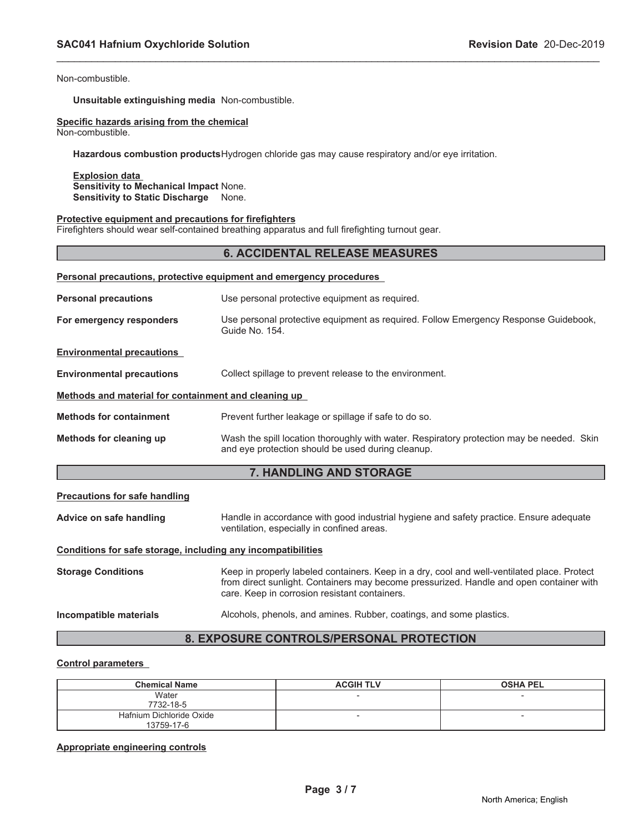Non-combustible.

**Unsuitable extinguishing media** Non-combustible.

# **Specific hazards arising from the chemical**

Non-combustible.

**Hazardous combustion products**Hydrogen chloride gas may cause respiratory and/or eye irritation.

**Explosion data Sensitivity to Mechanical Impact** None. **Sensitivity to Static Discharge** None.

#### **Protective equipment and precautions for firefighters**

Firefighters should wear self-contained breathing apparatus and full firefighting turnout gear.

#### **6. ACCIDENTAL RELEASE MEASURES**

\_\_\_\_\_\_\_\_\_\_\_\_\_\_\_\_\_\_\_\_\_\_\_\_\_\_\_\_\_\_\_\_\_\_\_\_\_\_\_\_\_\_\_\_\_\_\_\_\_\_\_\_\_\_\_\_\_\_\_\_\_\_\_\_\_\_\_\_\_\_\_\_\_\_\_\_\_\_\_\_\_\_\_\_\_\_\_\_\_\_\_\_\_

| Personal precautions, protective equipment and emergency procedures                         |                                                                                                                                                |  |  |
|---------------------------------------------------------------------------------------------|------------------------------------------------------------------------------------------------------------------------------------------------|--|--|
| <b>Personal precautions</b>                                                                 | Use personal protective equipment as required.                                                                                                 |  |  |
| For emergency responders                                                                    | Use personal protective equipment as required. Follow Emergency Response Guidebook,<br>Guide No. 154.                                          |  |  |
| <b>Environmental precautions</b>                                                            |                                                                                                                                                |  |  |
| Collect spillage to prevent release to the environment.<br><b>Environmental precautions</b> |                                                                                                                                                |  |  |
| Methods and material for containment and cleaning up                                        |                                                                                                                                                |  |  |
| <b>Methods for containment</b>                                                              | Prevent further leakage or spillage if safe to do so.                                                                                          |  |  |
| Methods for cleaning up                                                                     | Wash the spill location thoroughly with water. Respiratory protection may be needed. Skin<br>and eye protection should be used during cleanup. |  |  |

# **7. HANDLING AND STORAGE**

#### **Precautions for safe handling**

**Advice on safe handling** Handle in accordance with good industrial hygiene and safety practice. Ensure adequate ventilation, especially in confined areas.

#### **Conditions for safe storage, including any incompatibilities**

**Storage Conditions** Keep in properly labeled containers. Keep in a dry, cool and well-ventilated place. Protect from direct sunlight. Containers may become pressurized. Handle and open container with care. Keep in corrosion resistant containers.

**Incompatible materials Alcohols, phenols, and amines. Rubber, coatings, and some plastics.** 

# **8. EXPOSURE CONTROLS/PERSONAL PROTECTION**

#### **Control parameters**

| <b>Chemical Name</b>     | <b>ACGIH TLV</b> | <b>OSHA PEL</b>          |
|--------------------------|------------------|--------------------------|
| Water                    |                  | $\overline{\phantom{a}}$ |
| 7732-18-5                |                  |                          |
| Hafnium Dichloride Oxide |                  | $\overline{\phantom{a}}$ |
| 13759-17-6               |                  |                          |

#### **Appropriate engineering controls**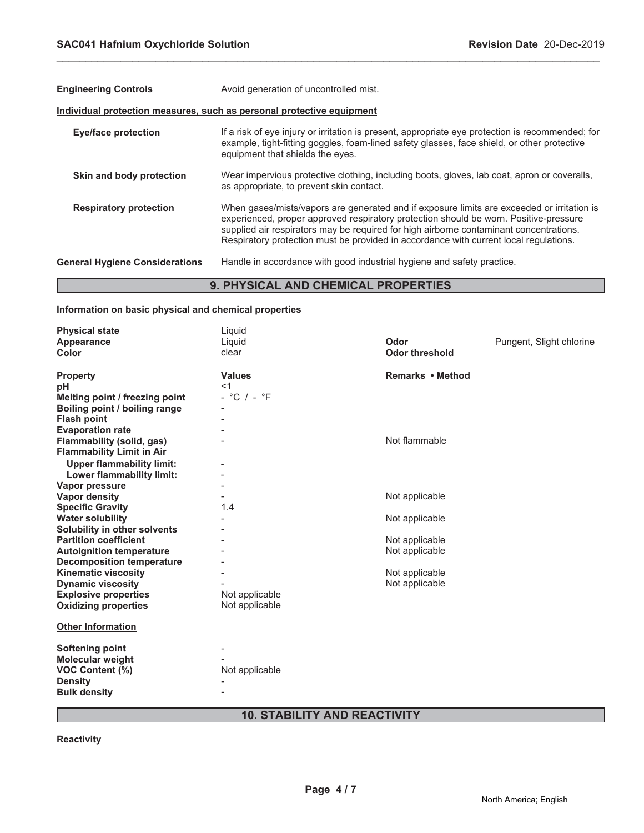| <b>Engineering Controls</b>           | Avoid generation of uncontrolled mist.                                                                                                                                                                                                                                                                                                                                 |  |  |
|---------------------------------------|------------------------------------------------------------------------------------------------------------------------------------------------------------------------------------------------------------------------------------------------------------------------------------------------------------------------------------------------------------------------|--|--|
|                                       | Individual protection measures, such as personal protective equipment                                                                                                                                                                                                                                                                                                  |  |  |
| <b>Eye/face protection</b>            | If a risk of eye injury or irritation is present, appropriate eye protection is recommended; for<br>example, tight-fitting goggles, foam-lined safety glasses, face shield, or other protective<br>equipment that shields the eyes.                                                                                                                                    |  |  |
| Skin and body protection              | Wear impervious protective clothing, including boots, gloves, lab coat, apron or coveralls,<br>as appropriate, to prevent skin contact.                                                                                                                                                                                                                                |  |  |
| <b>Respiratory protection</b>         | When gases/mists/vapors are generated and if exposure limits are exceeded or irritation is<br>experienced, proper approved respiratory protection should be worn. Positive-pressure<br>supplied air respirators may be required for high airborne contaminant concentrations.<br>Respiratory protection must be provided in accordance with current local regulations. |  |  |
| <b>General Hygiene Considerations</b> | Handle in accordance with good industrial hygiene and safety practice.                                                                                                                                                                                                                                                                                                 |  |  |
|                                       | <b>9. PHYSICAL AND CHEMICAL PROPERTIES</b>                                                                                                                                                                                                                                                                                                                             |  |  |

\_\_\_\_\_\_\_\_\_\_\_\_\_\_\_\_\_\_\_\_\_\_\_\_\_\_\_\_\_\_\_\_\_\_\_\_\_\_\_\_\_\_\_\_\_\_\_\_\_\_\_\_\_\_\_\_\_\_\_\_\_\_\_\_\_\_\_\_\_\_\_\_\_\_\_\_\_\_\_\_\_\_\_\_\_\_\_\_\_\_\_\_\_

# **9. PHYSICAL AND CHEMICAL PROPERTIES**

# **Information on basic physical and chemical properties**

| <b>Physical state</b>                                         | Liquid          |                       |                          |
|---------------------------------------------------------------|-----------------|-----------------------|--------------------------|
| Appearance                                                    | Liquid          | Odor                  | Pungent, Slight chlorine |
| Color                                                         | clear           | <b>Odor threshold</b> |                          |
| <b>Property</b>                                               | <b>Values</b>   | Remarks • Method      |                          |
| рH                                                            | $<$ 1           |                       |                          |
| Melting point / freezing point                                | $-$ °C $/ -$ °F |                       |                          |
| Boiling point / boiling range                                 |                 |                       |                          |
| <b>Flash point</b>                                            |                 |                       |                          |
| <b>Evaporation rate</b>                                       |                 |                       |                          |
| Flammability (solid, gas)<br><b>Flammability Limit in Air</b> |                 | Not flammable         |                          |
| <b>Upper flammability limit:</b>                              |                 |                       |                          |
| Lower flammability limit:                                     |                 |                       |                          |
| Vapor pressure                                                |                 |                       |                          |
| <b>Vapor density</b>                                          |                 | Not applicable        |                          |
| <b>Specific Gravity</b>                                       | 1.4             |                       |                          |
| <b>Water solubility</b>                                       |                 | Not applicable        |                          |
| Solubility in other solvents                                  |                 |                       |                          |
| <b>Partition coefficient</b>                                  |                 | Not applicable        |                          |
| <b>Autoignition temperature</b>                               |                 | Not applicable        |                          |
| <b>Decomposition temperature</b>                              |                 |                       |                          |
| <b>Kinematic viscosity</b>                                    |                 | Not applicable        |                          |
| <b>Dynamic viscosity</b>                                      |                 | Not applicable        |                          |
| <b>Explosive properties</b>                                   | Not applicable  |                       |                          |
| <b>Oxidizing properties</b>                                   | Not applicable  |                       |                          |
| <b>Other Information</b>                                      |                 |                       |                          |
| <b>Softening point</b>                                        |                 |                       |                          |
| <b>Molecular weight</b>                                       |                 |                       |                          |
| <b>VOC Content (%)</b>                                        | Not applicable  |                       |                          |
| <b>Density</b>                                                |                 |                       |                          |
| <b>Bulk density</b>                                           |                 |                       |                          |
|                                                               |                 |                       |                          |

# **10. STABILITY AND REACTIVITY**

**Reactivity**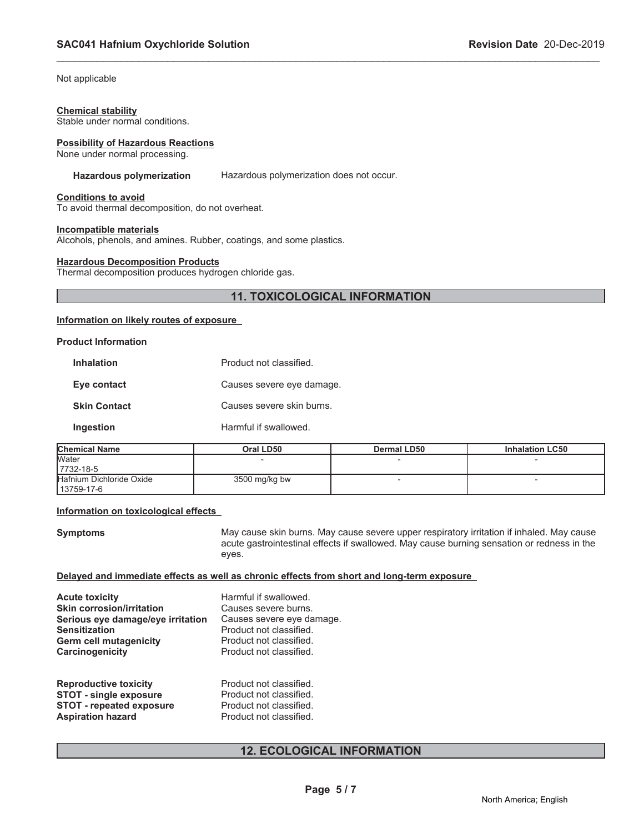Not applicable

#### **Chemical stability**

Stable under normal conditions.

#### **Possibility of Hazardous Reactions**

None under normal processing.

#### **Hazardous polymerization** Hazardous polymerization does not occur.

\_\_\_\_\_\_\_\_\_\_\_\_\_\_\_\_\_\_\_\_\_\_\_\_\_\_\_\_\_\_\_\_\_\_\_\_\_\_\_\_\_\_\_\_\_\_\_\_\_\_\_\_\_\_\_\_\_\_\_\_\_\_\_\_\_\_\_\_\_\_\_\_\_\_\_\_\_\_\_\_\_\_\_\_\_\_\_\_\_\_\_\_\_

#### **Conditions to avoid**

To avoid thermal decomposition, do not overheat.

#### **Incompatible materials**

Alcohols, phenols, and amines. Rubber, coatings, and some plastics.

#### **Hazardous Decomposition Products**

Thermal decomposition produces hydrogen chloride gas.

# **11. TOXICOLOGICAL INFORMATION**

# **Information on likely routes of exposure**

#### **Product Information**

| <b>Inhalation</b>   | Product not classified    |
|---------------------|---------------------------|
| Eye contact         | Causes severe eye damage. |
| <b>Skin Contact</b> | Causes severe skin burns. |
| Ingestion           | Harmful if swallowed.     |

| <b>Chemical Name</b>     | Oral LD50     | Dermal LD50 | <b>Inhalation LC50</b> |
|--------------------------|---------------|-------------|------------------------|
| <b>Water</b>             |               |             |                        |
| 7732-18-5                |               |             |                        |
| Hafnium Dichloride Oxide | 3500 mg/kg bw |             |                        |
| 13759-17-6               |               |             |                        |

#### **Information on toxicological effects**

**Symptoms May cause skin burns. May cause severe upper respiratory irritation if inhaled. May cause** acute gastrointestinal effects if swallowed. May cause burning sensation or redness in the eyes.

#### **Delayed and immediate effects as well as chronic effects from short and long-term exposure**

| <b>Acute toxicity</b>                                                 | Harmful if swallowed.                                |
|-----------------------------------------------------------------------|------------------------------------------------------|
| <b>Skin corrosion/irritation</b><br>Serious eye damage/eye irritation | Causes severe burns.                                 |
| Sensitization                                                         | Causes severe eye damage.<br>Product not classified. |
| Germ cell mutagenicity                                                | Product not classified.                              |
| <b>Carcinogenicity</b>                                                | Product not classified.                              |
| <b>Reproductive toxicity</b>                                          | Product not classified.                              |
| STOT pingle ovnoours                                                  | <b>Draduat pot plangified</b>                        |

#### **STOT - single exposure** Product not classified. **STOT - repeated exposure** Product not classified.<br> **Aspiration hazard** Product not classified. **Aspiration hazard**

# **12. ECOLOGICAL INFORMATION**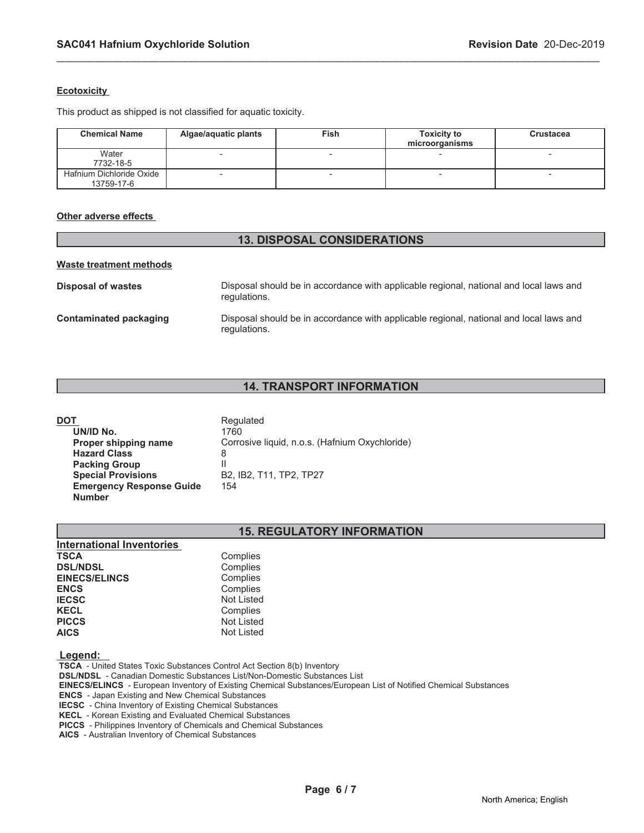# **Ecotoxicity**

This product as shipped is not classified for aquatic toxicity.

| <b>Chemical Name</b>                   | Algae/aquatic plants     | Fish | <b>Toxicity to</b><br>microorganisms | <b>Crustacea</b> |
|----------------------------------------|--------------------------|------|--------------------------------------|------------------|
| Water<br>7732-18-5                     | -                        |      |                                      |                  |
| Hafnium Dichloride Oxide<br>13759-17-6 | $\overline{\phantom{0}}$ |      |                                      |                  |

\_\_\_\_\_\_\_\_\_\_\_\_\_\_\_\_\_\_\_\_\_\_\_\_\_\_\_\_\_\_\_\_\_\_\_\_\_\_\_\_\_\_\_\_\_\_\_\_\_\_\_\_\_\_\_\_\_\_\_\_\_\_\_\_\_\_\_\_\_\_\_\_\_\_\_\_\_\_\_\_\_\_\_\_\_\_\_\_\_\_\_\_\_

### **Other adverse effects**

# **13. DISPOSAL CONSIDERATIONS**

#### **Waste treatment methods**

| Disposal of wastes     | Disposal should be in accordance with applicable regional, national and local laws and<br>regulations. |
|------------------------|--------------------------------------------------------------------------------------------------------|
| Contaminated packaging | Disposal should be in accordance with applicable regional, national and local laws and<br>regulations. |

# **14. TRANSPORT INFORMATION**

| DOT                             | Regulated                                      |
|---------------------------------|------------------------------------------------|
| UN/ID No.                       | 1760                                           |
| Proper shipping name            | Corrosive liquid, n.o.s. (Hafnium Oxychloride) |
| <b>Hazard Class</b>             | 8                                              |
| <b>Packing Group</b>            |                                                |
| <b>Special Provisions</b>       | B2, IB2, T11, TP2, TP27                        |
| <b>Emergency Response Guide</b> | 154                                            |
| <b>Number</b>                   |                                                |

# **15. REGULATORY INFORMATION**

| <b>International Inventories</b> |                   |
|----------------------------------|-------------------|
| <b>TSCA</b>                      | Complies          |
| <b>DSL/NDSL</b>                  | Complies          |
| <b>EINECS/ELINCS</b>             | Complies          |
| <b>ENCS</b>                      | Complies          |
| <b>IECSC</b>                     | <b>Not Listed</b> |
| <b>KECL</b>                      | Complies          |
| <b>PICCS</b>                     | <b>Not Listed</b> |
| <b>AICS</b>                      | <b>Not Listed</b> |

# **Legend:**

 **TSCA** - United States Toxic Substances Control Act Section 8(b) Inventory

 **DSL/NDSL** - Canadian Domestic Substances List/Non-Domestic Substances List

 **EINECS/ELINCS** - European Inventory of Existing Chemical Substances/European List of Notified Chemical Substances

 **ENCS** - Japan Existing and New Chemical Substances

 **IECSC** - China Inventory of Existing Chemical Substances

 **KECL** - Korean Existing and Evaluated Chemical Substances

 **PICCS** - Philippines Inventory of Chemicals and Chemical Substances

 **AICS** - Australian Inventory of Chemical Substances